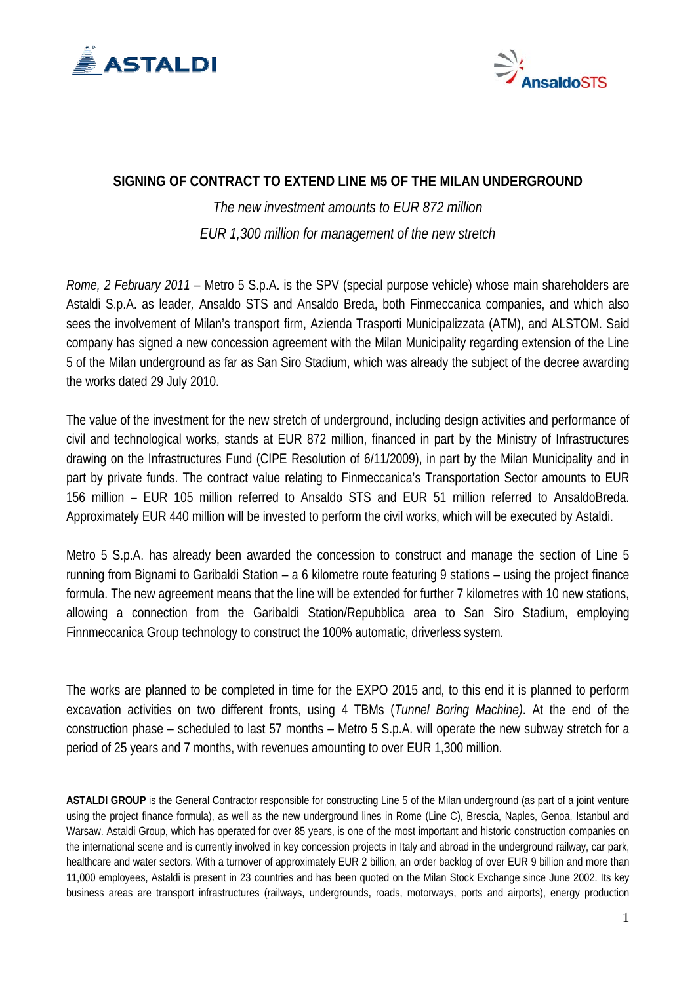



## **SIGNING OF CONTRACT TO EXTEND LINE M5 OF THE MILAN UNDERGROUND**

*The new investment amounts to EUR 872 million EUR 1,300 million for management of the new stretch* 

*Rome, 2 February 2011* – Metro 5 S.p.A. is the SPV (special purpose vehicle) whose main shareholders are Astaldi S.p.A. as leader*,* Ansaldo STS and Ansaldo Breda, both Finmeccanica companies, and which also sees the involvement of Milan's transport firm, Azienda Trasporti Municipalizzata (ATM), and ALSTOM. Said company has signed a new concession agreement with the Milan Municipality regarding extension of the Line 5 of the Milan underground as far as San Siro Stadium, which was already the subject of the decree awarding the works dated 29 July 2010.

The value of the investment for the new stretch of underground, including design activities and performance of civil and technological works, stands at EUR 872 million, financed in part by the Ministry of Infrastructures drawing on the Infrastructures Fund (CIPE Resolution of 6/11/2009), in part by the Milan Municipality and in part by private funds. The contract value relating to Finmeccanica's Transportation Sector amounts to EUR 156 million – EUR 105 million referred to Ansaldo STS and EUR 51 million referred to AnsaldoBreda. Approximately EUR 440 million will be invested to perform the civil works, which will be executed by Astaldi.

Metro 5 S.p.A. has already been awarded the concession to construct and manage the section of Line 5 running from Bignami to Garibaldi Station – a 6 kilometre route featuring 9 stations – using the project finance formula. The new agreement means that the line will be extended for further 7 kilometres with 10 new stations, allowing a connection from the Garibaldi Station/Repubblica area to San Siro Stadium, employing Finnmeccanica Group technology to construct the 100% automatic, driverless system.

The works are planned to be completed in time for the EXPO 2015 and, to this end it is planned to perform excavation activities on two different fronts, using 4 TBMs (*Tunnel Boring Machine)*. At the end of the construction phase – scheduled to last 57 months – Metro 5 S.p.A. will operate the new subway stretch for a period of 25 years and 7 months, with revenues amounting to over EUR 1,300 million.

**ASTALDI GROUP** is the General Contractor responsible for constructing Line 5 of the Milan underground (as part of a joint venture using the project finance formula), as well as the new underground lines in Rome (Line C), Brescia, Naples, Genoa, Istanbul and Warsaw. Astaldi Group, which has operated for over 85 years, is one of the most important and historic construction companies on the international scene and is currently involved in key concession projects in Italy and abroad in the underground railway, car park, healthcare and water sectors. With a turnover of approximately EUR 2 billion, an order backlog of over EUR 9 billion and more than 11,000 employees, Astaldi is present in 23 countries and has been quoted on the Milan Stock Exchange since June 2002. Its key business areas are transport infrastructures (railways, undergrounds, roads, motorways, ports and airports), energy production